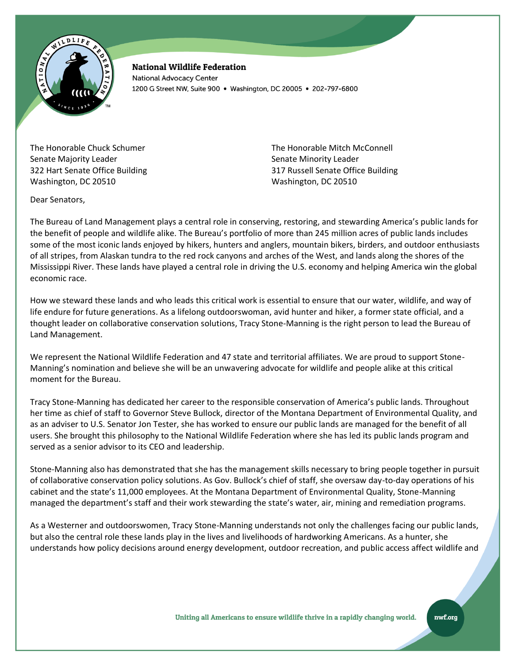

**National Wildlife Federation National Advocacy Center** 1200 G Street NW, Suite 900 · Washington, DC 20005 · 202-797-6800

The Honorable Chuck Schumer Senate Majority Leader 322 Hart Senate Office Building Washington, DC 20510

The Honorable Mitch McConnell Senate Minority Leader 317 Russell Senate Office Building Washington, DC 20510

Dear Senators,

The Bureau of Land Management plays a central role in conserving, restoring, and stewarding America's public lands for the benefit of people and wildlife alike. The Bureau's portfolio of more than 245 million acres of public lands includes some of the most iconic lands enjoyed by hikers, hunters and anglers, mountain bikers, birders, and outdoor enthusiasts of all stripes, from Alaskan tundra to the red rock canyons and arches of the West, and lands along the shores of the Mississippi River. These lands have played a central role in driving the U.S. economy and helping America win the global economic race.

How we steward these lands and who leads this critical work is essential to ensure that our water, wildlife, and way of life endure for future generations. As a lifelong outdoorswoman, avid hunter and hiker, a former state official, and a thought leader on collaborative conservation solutions, Tracy Stone-Manning is the right person to lead the Bureau of Land Management.

We represent the National Wildlife Federation and 47 state and territorial affiliates. We are proud to support Stone-Manning's nomination and believe she will be an unwavering advocate for wildlife and people alike at this critical moment for the Bureau.

Tracy Stone-Manning has dedicated her career to the responsible conservation of America's public lands. Throughout her time as chief of staff to Governor Steve Bullock, director of the Montana Department of Environmental Quality, and as an adviser to U.S. Senator Jon Tester, she has worked to ensure our public lands are managed for the benefit of all users. She brought this philosophy to the National Wildlife Federation where she has led its public lands program and served as a senior advisor to its CEO and leadership.

Stone-Manning also has demonstrated that she has the management skills necessary to bring people together in pursuit of collaborative conservation policy solutions. As Gov. Bullock's chief of staff, she oversaw day-to-day operations of his cabinet and the state's 11,000 employees. At the Montana Department of Environmental Quality, Stone-Manning managed the department's staff and their work stewarding the state's water, air, mining and remediation programs.

As a Westerner and outdoorswomen, Tracy Stone-Manning understands not only the challenges facing our public lands, but also the central role these lands play in the lives and livelihoods of hardworking Americans. As a hunter, she understands how policy decisions around energy development, outdoor recreation, and public access affect wildlife and

nwf.org